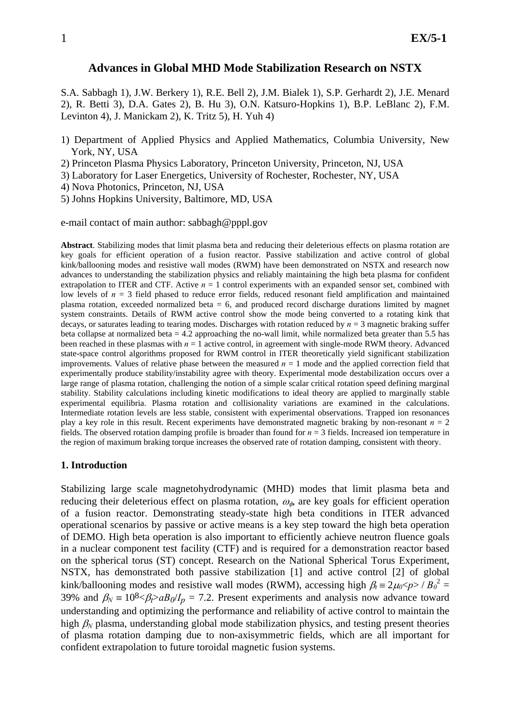# **Advances in Global MHD Mode Stabilization Research on NSTX**

S.A. Sabbagh 1), J.W. Berkery 1), R.E. Bell 2), J.M. Bialek 1), S.P. Gerhardt 2), J.E. Menard 2), R. Betti 3), D.A. Gates 2), B. Hu 3), O.N. Katsuro-Hopkins 1), B.P. LeBlanc 2), F.M. Levinton 4), J. Manickam 2), K. Tritz 5), H. Yuh 4)

- 1) Department of Applied Physics and Applied Mathematics, Columbia University, New York, NY, USA
- 2) Princeton Plasma Physics Laboratory, Princeton University, Princeton, NJ, USA
- 3) Laboratory for Laser Energetics, University of Rochester, Rochester, NY, USA
- 4) Nova Photonics, Princeton, NJ, USA
- 5) Johns Hopkins University, Baltimore, MD, USA

e-mail contact of main author: sabbagh@pppl.gov

**Abstract**. Stabilizing modes that limit plasma beta and reducing their deleterious effects on plasma rotation are key goals for efficient operation of a fusion reactor. Passive stabilization and active control of global kink/ballooning modes and resistive wall modes (RWM) have been demonstrated on NSTX and research now advances to understanding the stabilization physics and reliably maintaining the high beta plasma for confident extrapolation to ITER and CTF. Active  $n = 1$  control experiments with an expanded sensor set, combined with low levels of  $n = 3$  field phased to reduce error fields, reduced resonant field amplification and maintained plasma rotation, exceeded normalized beta = 6, and produced record discharge durations limited by magnet system constraints. Details of RWM active control show the mode being converted to a rotating kink that decays, or saturates leading to tearing modes. Discharges with rotation reduced by *n* = 3 magnetic braking suffer beta collapse at normalized beta  $= 4.2$  approaching the no-wall limit, while normalized beta greater than 5.5 has been reached in these plasmas with  $n = 1$  active control, in agreement with single-mode RWM theory. Advanced state-space control algorithms proposed for RWM control in ITER theoretically yield significant stabilization improvements. Values of relative phase between the measured  $n = 1$  mode and the applied correction field that experimentally produce stability/instability agree with theory. Experimental mode destabilization occurs over a large range of plasma rotation, challenging the notion of a simple scalar critical rotation speed defining marginal stability. Stability calculations including kinetic modifications to ideal theory are applied to marginally stable experimental equilibria. Plasma rotation and collisionality variations are examined in the calculations. Intermediate rotation levels are less stable, consistent with experimental observations. Trapped ion resonances play a key role in this result. Recent experiments have demonstrated magnetic braking by non-resonant  $n = 2$ fields. The observed rotation damping profile is broader than found for *n* = 3 fields. Increased ion temperature in the region of maximum braking torque increases the observed rate of rotation damping, consistent with theory.

### **1. Introduction**

Stabilizing large scale magnetohydrodynamic (MHD) modes that limit plasma beta and reducing their deleterious effect on plasma rotation,  $\omega_{\phi}$  are key goals for efficient operation of a fusion reactor. Demonstrating steady-state high beta conditions in ITER advanced operational scenarios by passive or active means is a key step toward the high beta operation of DEMO. High beta operation is also important to efficiently achieve neutron fluence goals in a nuclear component test facility (CTF) and is required for a demonstration reactor based on the spherical torus (ST) concept. Research on the National Spherical Torus Experiment, NSTX, has demonstrated both passive stabilization [1] and active control [2] of global kink/ballooning modes and resistive wall modes (RWM), accessing high  $\beta_t = 2\mu_0 \ll p > B_0^2$  = 39% and  $\beta_N = 10^8 < \beta_l > aB_0/I_p = 7.2$ . Present experiments and analysis now advance toward understanding and optimizing the performance and reliability of active control to maintain the high  $\beta_N$  plasma, understanding global mode stabilization physics, and testing present theories of plasma rotation damping due to non-axisymmetric fields, which are all important for confident extrapolation to future toroidal magnetic fusion systems.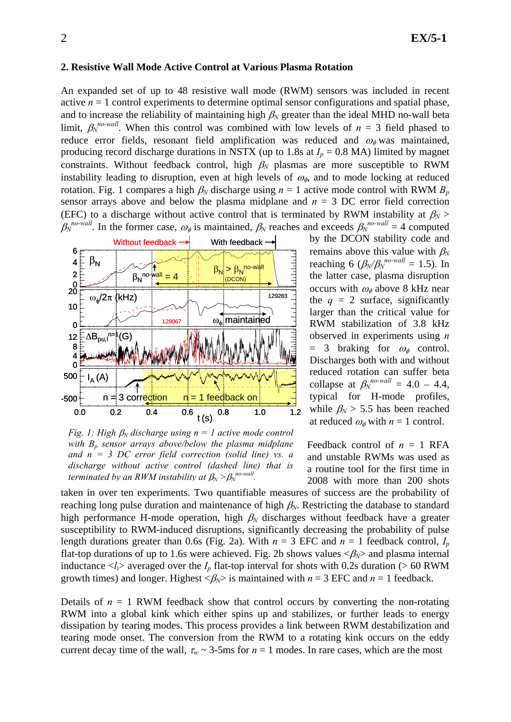#### **2. Resistive Wall Mode Active Control at Various Plasma Rotation**

An expanded set of up to 48 resistive wall mode (RWM) sensors was included in recent active  $n = 1$  control experiments to determine optimal sensor configurations and spatial phase, and to increase the reliability of maintaining high  $\beta_N$  greater than the ideal MHD no-wall beta limit,  $\beta_N^{no-wall}$ . When this control was combined with low levels of  $n = 3$  field phased to reduce error fields, resonant field amplification was reduced and  $\omega_{\phi}$  was maintained, producing record discharge durations in NSTX (up to 1.8s at  $I_p = 0.8$  MA) limited by magnet constraints. Without feedback control, high  $\beta_N$  plasmas are more susceptible to RWM instability leading to disruption, even at high levels of  $\omega_{\phi}$ , and to mode locking at reduced rotation. Fig. 1 compares a high  $\beta_N$  discharge using  $n = 1$  active mode control with RWM  $B_p$ sensor arrays above and below the plasma midplane and  $n = 3$  DC error field correction (EFC) to a discharge without active control that is terminated by RWM instability at  $\beta_N$  $\beta_N^{no-wall}$ . In the former case,  $\omega_\phi$  is maintained,  $\beta_N$  reaches and exceeds  $\beta_N^{no-wall} = 4$  computed



*Fig. 1: High*  $\beta_N$  *discharge using n = 1 active mode control with Bp sensor arrays above/below the plasma midplane and n = 3 DC error field correction (solid line) vs. a discharge without active control (dashed line) that is terminated by an RWM instability at*  $\beta_N > \beta_N^{no-wall}$ *.* 

by the DCON stability code and remains above this value with  $\beta_N$ reaching 6 ( $\beta_N/\beta_N^{no-wall} = 1.5$ ). In the latter case, plasma disruption occurs with  $\omega_{\phi}$  above 8 kHz near the  $q = 2$  surface, significantly larger than the critical value for RWM stabilization of 3.8 kHz observed in experiments using *n*  $= 3$  braking for  $\omega_{\phi}$  control. Discharges both with and without reduced rotation can suffer beta collapse at  $\beta_N^{no-wall} = 4.0 - 4.4$ , typical for H-mode profiles, while  $\beta_N$  > 5.5 has been reached at reduced  $\omega_{\phi}$  with  $n = 1$  control.

Feedback control of  $n = 1$  RFA and unstable RWMs was used as a routine tool for the first time in 2008 with more than 200 shots

taken in over ten experiments. Two quantifiable measures of success are the probability of reaching long pulse duration and maintenance of high  $\beta_N$ . Restricting the database to standard high performance H-mode operation, high β*N* discharges without feedback have a greater susceptibility to RWM-induced disruptions, significantly decreasing the probability of pulse length durations greater than 0.6s (Fig. 2a). With  $n = 3$  EFC and  $n = 1$  feedback control,  $I_p$ flat-top durations of up to 1.6s were achieved. Fig. 2b shows values  $\langle \beta_N \rangle$  and plasma internal inductance  $\langle l_i \rangle$  averaged over the  $I_p$  flat-top interval for shots with 0.2s duration ( $> 60$  RWM growth times) and longer. Highest  $\langle \beta_N \rangle$  is maintained with  $n = 3$  EFC and  $n = 1$  feedback.

Details of  $n = 1$  RWM feedback show that control occurs by converting the non-rotating RWM into a global kink which either spins up and stabilizes, or further leads to energy dissipation by tearing modes. This process provides a link between RWM destabilization and tearing mode onset. The conversion from the RWM to a rotating kink occurs on the eddy current decay time of the wall,  $\tau_w \sim 3$ -5ms for  $n = 1$  modes. In rare cases, which are the most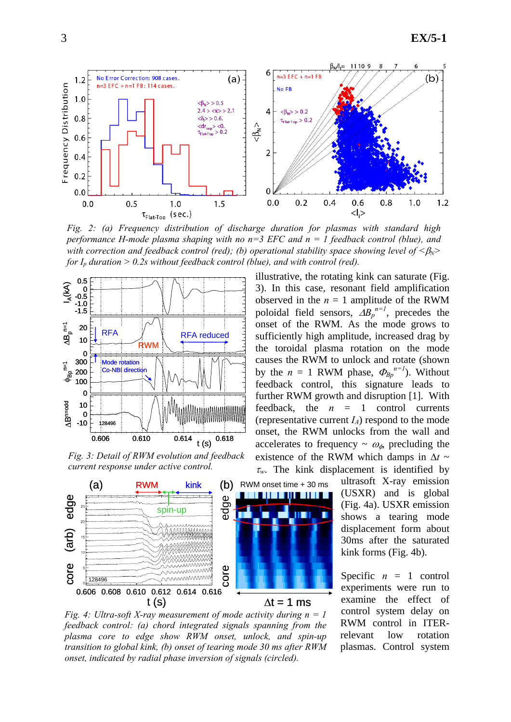

*Fig. 2: (a) Frequency distribution of discharge duration for plasmas with standard high performance H-mode plasma shaping with no n=3 EFC and n = 1 feedback control (blue), and with correction and feedback control (red); (b) operational stability space showing level of*  $\langle \beta_N \rangle$ *for*  $I_p$  *duration > 0.2s without feedback control (blue), and with control (red).* 



*Fig. 3: Detail of RWM evolution and feedback current response under active control.* 



*Fig. 4: Ultra-soft X-ray measurement of mode activity during n = 1 feedback control: (a) chord integrated signals spanning from the plasma core to edge show RWM onset, unlock, and spin-up transition to global kink, (b) onset of tearing mode 30 ms after RWM* 

illustrative, the rotating kink can saturate (Fig. 3). In this case, resonant field amplification observed in the  $n = 1$  amplitude of the RWM poloidal field sensors,  $\Delta B_p^{n=1}$ , precedes the onset of the RWM. As the mode grows to sufficiently high amplitude, increased drag by the toroidal plasma rotation on the mode causes the RWM to unlock and rotate (shown by the  $n = 1$  RWM phase,  $\Phi_{Bp}^{n=1}$ ). Without feedback control, this signature leads to further RWM growth and disruption [1]. With feedback, the  $n = 1$  control currents (representative current  $I_A$ ) respond to the mode onset, the RWM unlocks from the wall and accelerates to frequency  $\sim \omega_{\phi}$ , precluding the existence of the RWM which damps in  $\Delta t \sim$ <sup>τ</sup>*w*. The kink displacement is identified by

> ultrasoft X-ray emission (USXR) and is global (Fig. 4a). USXR emission shows a tearing mode displacement form about 30ms after the saturated kink forms (Fig. 4b).

> Specific  $n = 1$  control experiments were run to examine the effect of control system delay on RWM control in ITERrelevant low rotation plasmas. Control system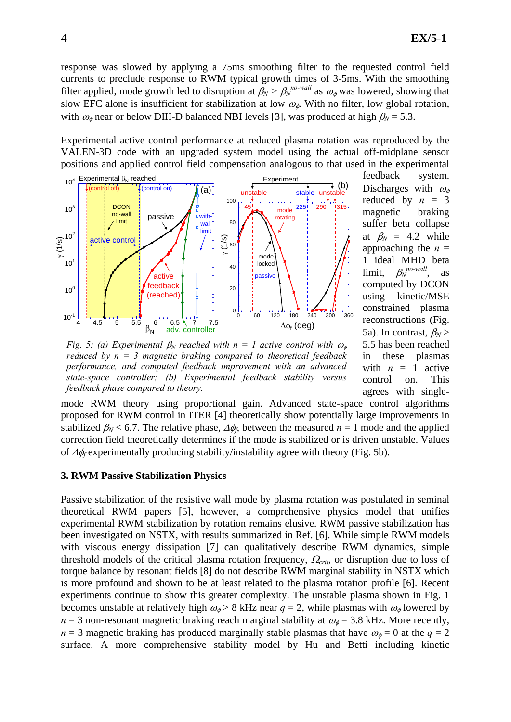response was slowed by applying a 75ms smoothing filter to the requested control field currents to preclude response to RWM typical growth times of 3-5ms. With the smoothing filter applied, mode growth led to disruption at  $\beta_N > \beta_N^{no-wall}$  as  $\omega_{\phi}$  was lowered, showing that slow EFC alone is insufficient for stabilization at low  $\omega_{\phi}$ . With no filter, low global rotation, with  $\omega_{\phi}$  near or below DIII-D balanced NBI levels [3], was produced at high  $\beta_N = 5.3$ .

Experimental active control performance at reduced plasma rotation was reproduced by the VALEN-3D code with an upgraded system model using the actual off-midplane sensor positions and applied control field compensation analogous to that used in the experimental



feedback system. Discharges with  $\omega_{\phi}$ reduced by  $n = 3$ magnetic braking suffer beta collapse at  $\beta_N = 4.2$  while approaching the  $n =$ 1 ideal MHD beta limit,  $\beta_N^{no-wall}$ , as computed by DCON using kinetic/MSE constrained plasma reconstructions (Fig. 5a). In contrast,  $\beta_N$  > 5.5 has been reached in these plasmas with  $n = 1$  active control on. This agrees with single-

*Fig. 5: (a) Experimental*  $\beta_N$  *reached with n = 1 active control with*  $\omega_\phi$ *reduced by n = 3 magnetic braking compared to theoretical feedback performance, and computed feedback improvement with an advanced state-space controller; (b) Experimental feedback stability versus feedback phase compared to theory.* 

mode RWM theory using proportional gain. Advanced state-space control algorithms proposed for RWM control in ITER [4] theoretically show potentially large improvements in stabilized  $\beta_N$  < 6.7. The relative phase,  $\Delta \phi_f$ , between the measured *n* = 1 mode and the applied correction field theoretically determines if the mode is stabilized or is driven unstable. Values of Δφ*f* experimentally producing stability/instability agree with theory (Fig. 5b).

#### **3. RWM Passive Stabilization Physics**

Passive stabilization of the resistive wall mode by plasma rotation was postulated in seminal theoretical RWM papers [5], however, a comprehensive physics model that unifies experimental RWM stabilization by rotation remains elusive. RWM passive stabilization has been investigated on NSTX, with results summarized in Ref. [6]. While simple RWM models with viscous energy dissipation [7] can qualitatively describe RWM dynamics, simple threshold models of the critical plasma rotation frequency, <sup>Ω</sup>*crit*, or disruption due to loss of torque balance by resonant fields [8] do not describe RWM marginal stability in NSTX which is more profound and shown to be at least related to the plasma rotation profile [6]. Recent experiments continue to show this greater complexity. The unstable plasma shown in Fig. 1 becomes unstable at relatively high  $\omega_{\phi} > 8$  kHz near  $q = 2$ , while plasmas with  $\omega_{\phi}$  lowered by  $n = 3$  non-resonant magnetic braking reach marginal stability at  $\omega_{\phi} = 3.8$  kHz. More recently, *n* = 3 magnetic braking has produced marginally stable plasmas that have  $\omega_{\phi} = 0$  at the  $q = 2$ surface. A more comprehensive stability model by Hu and Betti including kinetic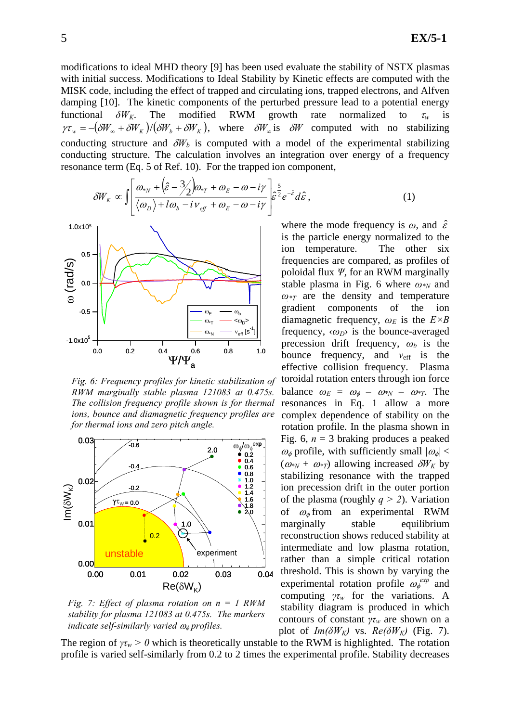modifications to ideal MHD theory [9] has been used evaluate the stability of NSTX plasmas with initial success. Modifications to Ideal Stability by Kinetic effects are computed with the MISK code, including the effect of trapped and circulating ions, trapped electrons, and Alfven damping [10]. The kinetic components of the perturbed pressure lead to a potential energy functional  $\delta W_K$ . The modified RWM growth rate normalized to  $\tau_w$  is  $\gamma \tau_w = -(\delta W_w + \delta W_K)/(\delta W_b + \delta W_K)$ , where  $\delta W_w$  is  $\delta W$  computed with no stabilizing conducting structure and  $\delta W_b$  is computed with a model of the experimental stabilizing conducting structure. The calculation involves an integration over energy of a frequency resonance term (Eq. 5 of Ref. 10). For the trapped ion component,

$$
\delta W_K \propto \int \left[ \frac{\omega_{*N} + (\hat{\varepsilon} - 3/2) \omega_{*T} + \omega_E - \omega - i\gamma}{\langle \omega_D \rangle + l\omega_b - i\nu_{\text{eff}} + \omega_E - \omega - i\gamma} \right] \hat{\varepsilon}^{\frac{5}{2}} e^{-\hat{\varepsilon}} d\hat{\varepsilon}, \tag{1}
$$



*Fig. 6: Frequency profiles for kinetic stabilization of RWM marginally stable plasma 121083 at 0.475s. The collision frequency profile shown is for thermal ions, bounce and diamagnetic frequency profiles are for thermal ions and zero pitch angle.* 



*Fig. 7: Effect of plasma rotation on n = 1 RWM stability for plasma 121083 at 0.475s. The markers indicate self-similarly varied*  $ω_φ$  *profiles.* 

where the mode frequency is  $\omega$ , and  $\hat{\varepsilon}$ is the particle energy normalized to the ion temperature. The other six frequencies are compared, as profiles of poloidal flux *Ψ*, for an RWM marginally stable plasma in Fig. 6 where *ω\*N* and  $\omega_{\tau}$  are the density and temperature gradient components of the ion diamagnetic frequency,  $\omega_E$  is the  $E \times B$ frequency, ‹*ωD*› is the bounce-averaged precession drift frequency,  $\omega_b$  is the bounce frequency, and  $v_{\text{eff}}$  is the effective collision frequency. Plasma toroidal rotation enters through ion force balance  $\omega_E = \omega_{\phi} - \omega_{N} - \omega_{T}$ . The resonances in Eq. 1 allow a more complex dependence of stability on the rotation profile. In the plasma shown in Fig. 6,  $n = 3$  braking produces a peaked  $\omega_{\phi}$  profile, with sufficiently small  $|\omega_{\phi}|$  <  $(\omega_{N} + \omega_{N})$  allowing increased  $\delta W_{K}$  by stabilizing resonance with the trapped ion precession drift in the outer portion of the plasma (roughly *q > 2*). Variation of  $\omega_{\phi}$  from an experimental RWM marginally stable equilibrium reconstruction shows reduced stability at intermediate and low plasma rotation, rather than a simple critical rotation threshold. This is shown by varying the experimental rotation profile  $\omega_{\phi}^{exp}$  and computing  $\gamma \tau_w$  for the variations. A stability diagram is produced in which contours of constant *γτw* are shown on a plot of  $Im(\delta W_K)$  vs.  $Re(\delta W_K)$  (Fig. 7).

The region of  $\gamma \tau_w > 0$  which is theoretically unstable to the RWM is highlighted. The rotation profile is varied self-similarly from 0.2 to 2 times the experimental profile. Stability decreases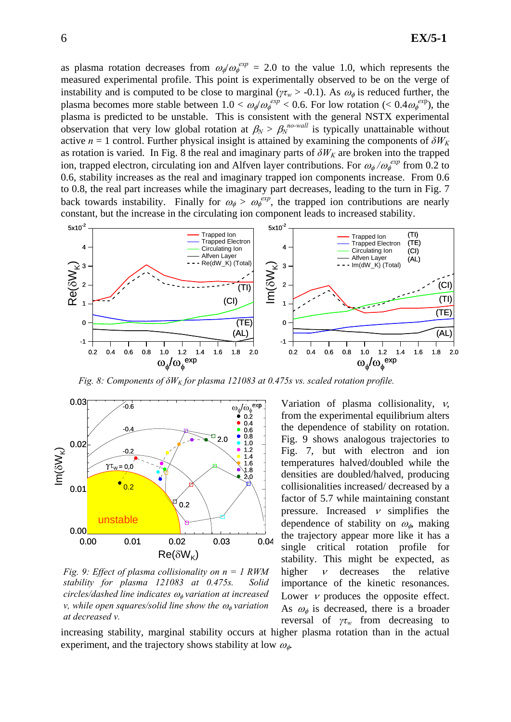as plasma rotation decreases from  $\omega_p/\omega_\phi^{exp} = 2.0$  to the value 1.0, which represents the measured experimental profile. This point is experimentally observed to be on the verge of instability and is computed to be close to marginal ( $\gamma \tau_w > -0.1$ ). As  $\omega_\phi$  is reduced further, the plasma becomes more stable between  $1.0 < \omega_p/\omega_p^{exp} < 0.6$ . For low rotation ( $< 0.4 \omega_p^{exp}$ ), the plasma is predicted to be unstable. This is consistent with the general NSTX experimental observation that very low global rotation at  $\beta_N > \beta_N^{no-wall}$  is typically unattainable without active  $n = 1$  control. Further physical insight is attained by examining the components of  $\delta W_K$ as rotation is varied. In Fig. 8 the real and imaginary parts of  $\delta W_K$  are broken into the trapped ion, trapped electron, circulating ion and Alfven layer contributions. For  $\omega_{\phi}/\omega_{\phi}^{exp}$  from 0.2 to 0.6, stability increases as the real and imaginary trapped ion components increase. From 0.6 to 0.8, the real part increases while the imaginary part decreases, leading to the turn in Fig. 7 back towards instability. Finally for  $\omega_{\phi} > \omega_{\phi}^{exp}$ , the trapped ion contributions are nearly constant, but the increase in the circulating ion component leads to increased stability.



*Fig. 8: Components of*  $\delta W_K$  *for plasma 121083 at 0.475s vs. scaled rotation profile.* 



*Fig. 9: Effect of plasma collisionality on n = 1 RWM stability for plasma 121083 at 0.475s. Solid circles/dashed line indicates* <sup>ω</sup>φ *variation at increased v*, while open squares/solid line show the  $\omega_{\phi}$  variation *at decreased v.* 

Variation of plasma collisionality, ν, from the experimental equilibrium alters the dependence of stability on rotation. Fig. 9 shows analogous trajectories to Fig. 7, but with electron and ion temperatures halved/doubled while the densities are doubled/halved, producing collisionalities increased/ decreased by a factor of 5.7 while maintaining constant pressure. Increased  $\nu$  simplifies the dependence of stability on  $\omega_{\phi}$ , making the trajectory appear more like it has a single critical rotation profile for stability. This might be expected, as higher  $\nu$  decreases the relative importance of the kinetic resonances. Lower  $\nu$  produces the opposite effect. As  $\omega_{\phi}$  is decreased, there is a broader reversal of *γτw* from decreasing to

increasing stability, marginal stability occurs at higher plasma rotation than in the actual experiment, and the trajectory shows stability at low  $\omega_{\phi}$ .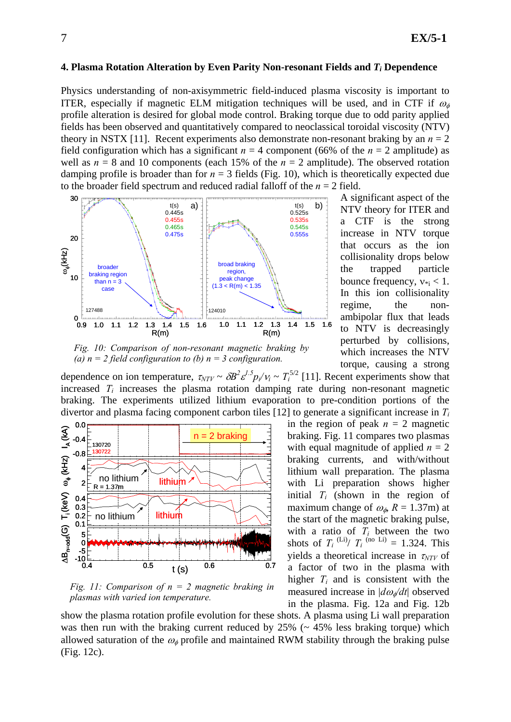### **4. Plasma Rotation Alteration by Even Parity Non-resonant Fields and** *Ti* **Dependence**

Physics understanding of non-axisymmetric field-induced plasma viscosity is important to ITER, especially if magnetic ELM mitigation techniques will be used, and in CTF if  $\omega_{\phi}$ profile alteration is desired for global mode control. Braking torque due to odd parity applied fields has been observed and quantitatively compared to neoclassical toroidal viscosity (NTV) theory in NSTX [11]. Recent experiments also demonstrate non-resonant braking by an  $n = 2$ field configuration which has a significant  $n = 4$  component (66% of the  $n = 2$  amplitude) as well as  $n = 8$  and 10 components (each 15% of the  $n = 2$  amplitude). The observed rotation damping profile is broader than for  $n = 3$  fields (Fig. 10), which is theoretically expected due to the broader field spectrum and reduced radial falloff of the *n* = 2 field.



*Fig. 10: Comparison of non-resonant magnetic braking by (a)*  $n = 2$  *field configuration to (b)*  $n = 3$  *configuration.* 

A significant aspect of the NTV theory for ITER and a CTF is the strong increase in NTV torque that occurs as the ion collisionality drops below the trapped particle bounce frequency,  $v_{\text{min}} < 1$ . In this ion collisionality regime, the nonambipolar flux that leads to NTV is decreasingly perturbed by collisions, which increases the NTV torque, causing a strong

dependence on ion temperature,  $\tau_{NTV} \sim \delta B^2 \varepsilon^{1.5} p_i/v_i \sim T_i^{5/2}$  [11]. Recent experiments show that increased  $T_i$  increases the plasma rotation damping rate during non-resonant magnetic braking. The experiments utilized lithium evaporation to pre-condition portions of the divertor and plasma facing component carbon tiles [12] to generate a significant increase in *Ti*



*Fig. 11: Comparison of n = 2 magnetic braking in plasmas with varied ion temperature.* 

in the region of peak  $n = 2$  magnetic braking. Fig. 11 compares two plasmas with equal magnitude of applied  $n = 2$ braking currents, and with/without lithium wall preparation. The plasma with Li preparation shows higher initial *Ti* (shown in the region of maximum change of  $\omega_{\phi}$ ,  $R = 1.37$ m) at the start of the magnetic braking pulse, with a ratio of  $T_i$  between the two shots of  $T_i$ <sup>(Li)</sup>/  $T_i$ <sup>(no Li)</sup> = 1.324. This yields a theoretical increase in <sup>τ</sup>*NTV* of a factor of two in the plasma with higher  $T_i$  and is consistent with the measured increase in |*d*<sup>ω</sup>φ*/dt*| observed in the plasma. Fig. 12a and Fig. 12b

show the plasma rotation profile evolution for these shots. A plasma using Li wall preparation was then run with the braking current reduced by  $25\%$  ( $\sim 45\%$  less braking torque) which allowed saturation of the  $\omega_{\phi}$  profile and maintained RWM stability through the braking pulse (Fig. 12c).